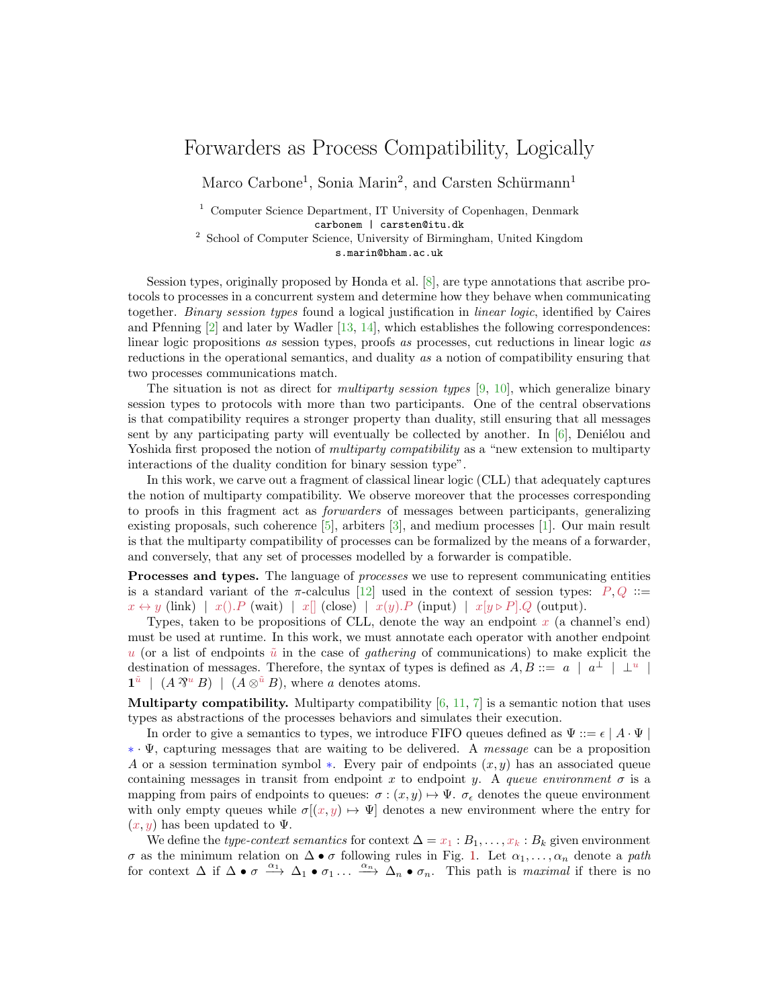## Forwarders as Process Compatibility, Logically

Marco Carbone<sup>1</sup>, Sonia Marin<sup>2</sup>, and Carsten Schürmann<sup>1</sup>

<sup>1</sup> Computer Science Department, IT University of Copenhagen, Denmark carbonem | carsten@itu.dk

<sup>2</sup> School of Computer Science, University of Birmingham, United Kingdom s.marin@bham.ac.uk

Session types, originally proposed by Honda et al. [\[8\]](#page-2-0), are type annotations that ascribe protocols to processes in a concurrent system and determine how they behave when communicating together. Binary session types found a logical justification in linear logic, identified by Caires and Pfenning [\[2\]](#page-2-1) and later by Wadler [\[13,](#page-2-2) [14\]](#page-2-3), which establishes the following correspondences: linear logic propositions as session types, proofs as processes, cut reductions in linear logic as reductions in the operational semantics, and duality as a notion of compatibility ensuring that two processes communications match.

The situation is not as direct for *multiparty session types* [\[9,](#page-2-4) [10\]](#page-2-5), which generalize binary session types to protocols with more than two participants. One of the central observations is that compatibility requires a stronger property than duality, still ensuring that all messages sent by any participating party will eventually be collected by another. In  $[6]$ , Deniélou and Yoshida first proposed the notion of *multiparty compatibility* as a "new extension to multiparty interactions of the duality condition for binary session type".

In this work, we carve out a fragment of classical linear logic (CLL) that adequately captures the notion of multiparty compatibility. We observe moreover that the processes corresponding to proofs in this fragment act as forwarders of messages between participants, generalizing existing proposals, such coherence [\[5\]](#page-2-7), arbiters [\[3\]](#page-2-8), and medium processes [\[1\]](#page-2-9). Our main result is that the multiparty compatibility of processes can be formalized by the means of a forwarder, and conversely, that any set of processes modelled by a forwarder is compatible.

Processes and types. The language of *processes* we use to represent communicating entities is a standard variant of the  $\pi$ -calculus [\[12\]](#page-2-10) used in the context of session types:  $P, Q ::=$  $x \leftrightarrow y$  (link)  $\mid x() \cdot P$  (wait)  $\mid x \parallel$  (close)  $\mid x(y) \cdot P$  (input)  $\mid x[y \triangleright P] \cdot Q$  (output).

Types, taken to be propositions of CLL, denote the way an endpoint  $x$  (a channel's end) must be used at runtime. In this work, we must annotate each operator with another endpoint u (or a list of endpoints  $\tilde{u}$  in the case of *gathering* of communications) to make explicit the destination of messages. Therefore, the syntax of types is defined as  $A, B ::= a | a^{\perp} | \perp^{u}$ |  $\mathbf{1}^{\tilde{u}} \mid (A \mathcal{V}^u B) \mid (A \otimes^{\tilde{u}} B)$ , where a denotes atoms.

**Multiparty compatibility.** Multiparty compatibility  $[6, 11, 7]$  $[6, 11, 7]$  $[6, 11, 7]$  $[6, 11, 7]$  is a semantic notion that uses types as abstractions of the processes behaviors and simulates their execution.

In order to give a semantics to types, we introduce FIFO queues defined as  $\Psi ::= \epsilon | A \cdot \Psi |$ ∗ · Ψ, capturing messages that are waiting to be delivered. A message can be a proposition A or a session termination symbol  $\ast$ . Every pair of endpoints  $(x, y)$  has an associated queue containing messages in transit from endpoint x to endpoint y. A queue environment  $\sigma$  is a mapping from pairs of endpoints to queues:  $\sigma : (x, y) \mapsto \Psi$ .  $\sigma_{\epsilon}$  denotes the queue environment with only empty queues while  $\sigma[(x, y) \mapsto \Psi]$  denotes a new environment where the entry for  $(x, y)$  has been updated to  $\Psi$ .

We define the type-context semantics for context  $\Delta = x_1 : B_1, \ldots, x_k : B_k$  given environment  $\sigma$  as the minimum relation on  $\Delta \bullet \sigma$  following rules in Fig. [1.](#page-1-0) Let  $\alpha_1, \ldots, \alpha_n$  denote a path for context  $\Delta$  if  $\Delta \bullet \sigma \stackrel{\alpha_1}{\longrightarrow} \Delta_1 \bullet \sigma_1 \ldots \stackrel{\alpha_n}{\longrightarrow} \Delta_n \bullet \sigma_n$ . This path is *maximal* if there is no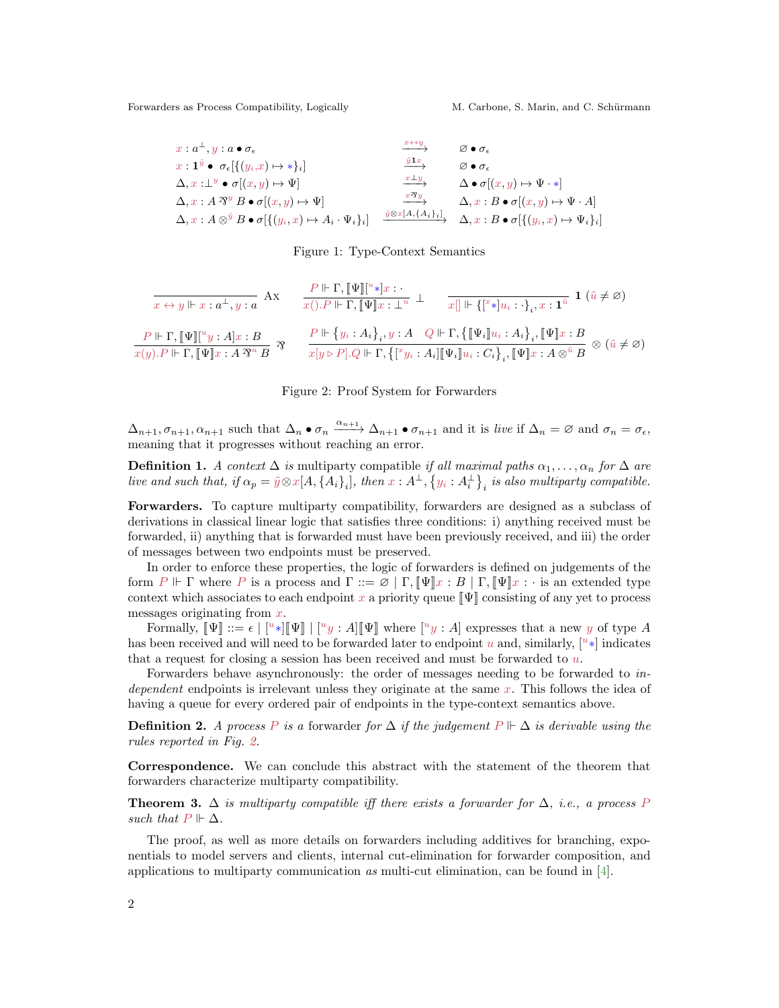Forwarders as Process Compatibility, Logically M. Carbone, S. Marin, and C. Schürmann

| $x:a^{\perp},y:a\bullet\sigma_{\epsilon}$                                           | $x \leftrightarrow y$                   | $\varnothing \bullet \sigma_{\epsilon}$                                       |
|-------------------------------------------------------------------------------------|-----------------------------------------|-------------------------------------------------------------------------------|
| $x: \mathbf{1}^{\tilde{y}} \bullet \sigma_{\epsilon}[\{(y_i,x) \mapsto * \}_i]$     | $\overline{y}$ <b>1</b> x               | $\varnothing \bullet \sigma_{\epsilon}$                                       |
| $\Delta, x : \perp^y \bullet \sigma(x, y) \mapsto \Psi$                             | $x \perp y$                             | $\Delta \bullet \sigma[(x, y) \mapsto \Psi \cdot *]$                          |
| $\Delta, x : A \mathcal{B}^y B \bullet \sigma[(x, y) \mapsto \Psi]$                 | $\frac{x\mathcal{B}y}{\longrightarrow}$ | $\Delta, x : B \bullet \sigma[(x, y) \mapsto \Psi \cdot A]$                   |
| $\Delta, x:A\otimes^{\bar{y}} B\bullet \sigma[\{(y_i,x)\mapsto A_i\cdot\Psi_i\}_i]$ | $\tilde{y} \otimes x[A, \{A_i\}_i]$     | $\Delta, x : B \bullet \sigma \left[ \{ (y_i, x) \mapsto \Psi_i \}_i \right]$ |

## <span id="page-1-0"></span>Figure 1: Type-Context Semantics

$$
\frac{P \Vdash \Gamma, \llbracket \Psi \rrbracket \llbracket^u * \rrbracket x : \cdot \bot \qquad x \rbrack \qquad \cdot \bot \qquad x \rbrack \Vdash \llbracket \llbracket^u * \rrbracket x : \cdot \bot \qquad x \rbrack \Vdash \llbracket \llbracket^u * \rrbracket x : \cdot \cdot \cdot \cdot \cdot \cdot \cdot \cdot \cdot \cdot \rbrack x : \mathbf{1} \quad (\tilde{u} \neq \varnothing)
$$
\n
$$
\frac{P \Vdash \Gamma, \llbracket \Psi \rrbracket \llbracket^u y : A \rrbracket x : B}{x(y) \cdot P \Vdash \Gamma, \llbracket \Psi \rrbracket x : A \otimes \varnothing \rbrack} \qquad \frac{P \Vdash \{y_i : A_i\}_i, y : A \quad Q \Vdash \Gamma, \{\llbracket \Psi_i \rrbracket u_i : A_i\}_i, \llbracket \Psi \rrbracket x : B}{x[y \triangleright P] \cdot Q \Vdash \Gamma, \{\llbracket^x y_i : A_i \rrbracket \llbracket \Psi_i \rrbracket u_i : C_i\}_i, \llbracket \Psi \rrbracket x : A \otimes^{\tilde{u}} B \quad \otimes (\tilde{u} \neq \varnothing)
$$

## <span id="page-1-1"></span>Figure 2: Proof System for Forwarders

 $\Delta_{n+1}, \sigma_{n+1}, \alpha_{n+1}$  such that  $\Delta_n \bullet \sigma_n \xrightarrow{\alpha_{n+1}} \Delta_{n+1} \bullet \sigma_{n+1}$  and it is live if  $\Delta_n = \varnothing$  and  $\sigma_n = \sigma_{\epsilon}$ , meaning that it progresses without reaching an error.

**Definition 1.** A context  $\Delta$  is multiparty compatible if all maximal paths  $\alpha_1, \ldots, \alpha_n$  for  $\Delta$  are live and such that, if  $\alpha_p = \tilde{y} \otimes x[A, \{A_i\}_i]$ , then  $x : A^{\perp}, \{y_i : A^{\perp}_i\}_i$  is also multiparty compatible.

Forwarders. To capture multiparty compatibility, forwarders are designed as a subclass of derivations in classical linear logic that satisfies three conditions: i) anything received must be forwarded, ii) anything that is forwarded must have been previously received, and iii) the order of messages between two endpoints must be preserved.

In order to enforce these properties, the logic of forwarders is defined on judgements of the form  $P \Vdash \Gamma$  where P is a process and  $\Gamma ::= \varnothing | \Gamma, \llbracket \Psi \rrbracket x : B | \Gamma, \llbracket \Psi \rrbracket x : \cdot$  is an extended type context which associates to each endpoint x a priority queue  $\llbracket \Psi \rrbracket$  consisting of any yet to process messages originating from  $x$ .

Formally,  $[\![\Psi]\!] ::= \epsilon \mid [{}^u*][\![\Psi]\!] \mid [{}^u y : A][\![\Psi]\!]$  where  $[{}^u y : A]$  expresses that a new y of type A has been received and will need to be forwarded later to endpoint u and, similarly,  $[u*]$  indicates that a request for closing a session has been received and must be forwarded to  $u$ .

Forwarders behave asynchronously: the order of messages needing to be forwarded to independent endpoints is irrelevant unless they originate at the same  $x$ . This follows the idea of having a queue for every ordered pair of endpoints in the type-context semantics above.

**Definition 2.** A process P is a forwarder for  $\Delta$  if the judgement P  $\vdash \Delta$  is derivable using the rules reported in Fig. [2.](#page-1-1)

Correspondence. We can conclude this abstract with the statement of the theorem that forwarders characterize multiparty compatibility.

**Theorem 3.**  $\Delta$  is multiparty compatible iff there exists a forwarder for  $\Delta$ , i.e., a process P such that  $P \Vdash \Delta$ .

The proof, as well as more details on forwarders including additives for branching, exponentials to model servers and clients, internal cut-elimination for forwarder composition, and applications to multiparty communication as multi-cut elimination, can be found in [\[4\]](#page-2-13).